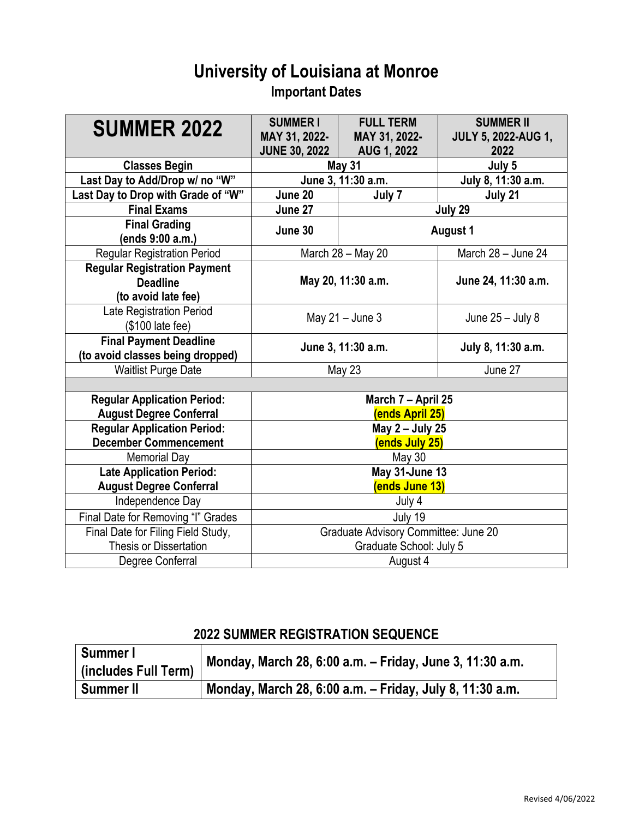## **University of Louisiana at Monroe Important Dates**

| <b>SUMMER 2022</b>                                                            | <b>SUMMERI</b><br>MAY 31, 2022-<br><b>JUNE 30, 2022</b> | <b>FULL TERM</b><br>MAY 31, 2022-<br>AUG 1, 2022 | <b>SUMMER II</b><br><b>JULY 5, 2022-AUG 1,</b><br>2022 |
|-------------------------------------------------------------------------------|---------------------------------------------------------|--------------------------------------------------|--------------------------------------------------------|
| <b>Classes Begin</b>                                                          |                                                         | <b>May 31</b>                                    | July 5                                                 |
| Last Day to Add/Drop w/ no "W"                                                | June 3, 11:30 a.m.                                      |                                                  | July 8, 11:30 a.m.                                     |
| Last Day to Drop with Grade of "W"                                            | June 20                                                 | July 7                                           | July 21                                                |
| <b>Final Exams</b>                                                            | June 27<br>July 29                                      |                                                  |                                                        |
| <b>Final Grading</b><br>(ends 9:00 a.m.)                                      | June 30<br><b>August 1</b>                              |                                                  |                                                        |
| <b>Regular Registration Period</b>                                            |                                                         | March 28 - May 20                                | March 28 - June 24                                     |
| <b>Regular Registration Payment</b><br><b>Deadline</b><br>(to avoid late fee) | May 20, 11:30 a.m.                                      |                                                  | June 24, 11:30 a.m.                                    |
| <b>Late Registration Period</b><br>(\$100 late fee)                           | May $21 -$ June 3                                       |                                                  | June $25 -$ July 8                                     |
| <b>Final Payment Deadline</b><br>(to avoid classes being dropped)             | June 3, 11:30 a.m.                                      |                                                  | July 8, 11:30 a.m.                                     |
| <b>Waitlist Purge Date</b>                                                    | May 23                                                  |                                                  | June 27                                                |
|                                                                               |                                                         |                                                  |                                                        |
| <b>Regular Application Period:</b>                                            | March 7 - April 25                                      |                                                  |                                                        |
| <b>August Degree Conferral</b>                                                | (ends April 25)                                         |                                                  |                                                        |
| <b>Regular Application Period:</b><br><b>December Commencement</b>            | May 2 - July 25<br>(ends July 25)                       |                                                  |                                                        |
| <b>Memorial Day</b>                                                           | May 30                                                  |                                                  |                                                        |
| <b>Late Application Period:</b>                                               | May 31-June 13                                          |                                                  |                                                        |
| <b>August Degree Conferral</b>                                                | (ends June 13)                                          |                                                  |                                                        |
| Independence Day                                                              | July 4                                                  |                                                  |                                                        |
| Final Date for Removing "I" Grades                                            | July 19                                                 |                                                  |                                                        |
| Final Date for Filing Field Study,                                            | Graduate Advisory Committee: June 20                    |                                                  |                                                        |
| <b>Thesis or Dissertation</b>                                                 | Graduate School: July 5                                 |                                                  |                                                        |
| Degree Conferral                                                              | August 4                                                |                                                  |                                                        |

## **2022 SUMMER REGISTRATION SEQUENCE**

| Summer I             | Monday, March 28, 6:00 a.m. - Friday, June 3, 11:30 a.m. |  |
|----------------------|----------------------------------------------------------|--|
| (includes Full Term) |                                                          |  |
| <b>Summer II</b>     | Monday, March 28, 6:00 a.m. - Friday, July 8, 11:30 a.m. |  |